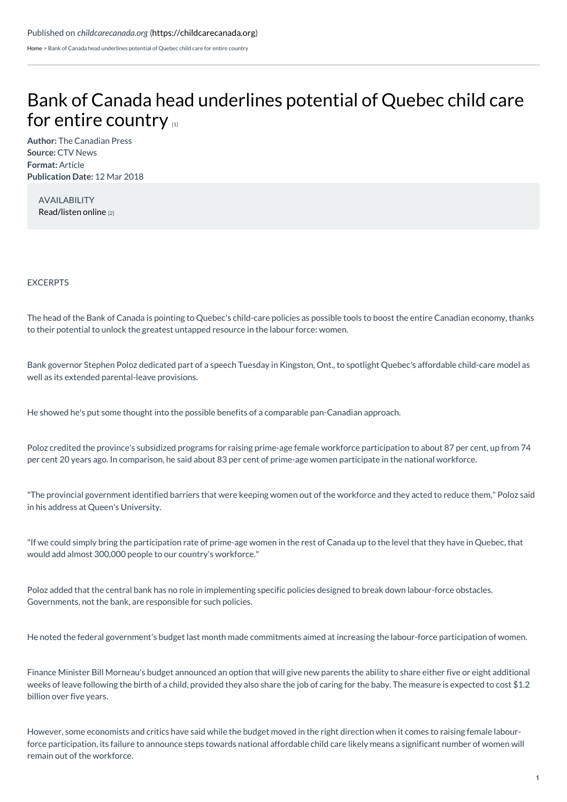[Home](https://childcarecanada.org/) > Bank of Canada head underlines potential of Quebec child care for entire country

# Bank of Canada head [underlines](https://childcarecanada.org/documents/child-care-news/18/03/bank-canada-head-underlines-potential-quebec-child-care-entire) potential of Quebec child care for entire country

**Author:** The Canadian Press **Source:** CTV News **Format:** Article **Publication Date:** 12 Mar 2018

AVAILABILITY [Read/listen](https://www.ctvnews.ca/business/quebec-style-child-care-could-boost-economy-bank-of-canada-head-1.3840834) online [2]

## EXCERPTS

The head of the Bank of Canada is pointing to Quebec's child-care policies as possible tools to boost the entire Canadian economy, thanks to their potential to unlock the greatest untapped resource in the labour force: women.

Bank governor Stephen Poloz dedicated part of a speech Tuesday in Kingston, Ont., to spotlight Quebec's affordable child-care model as well as its extended parental-leave provisions.

He showed he's put some thought into the possible benefits of a comparable pan-Canadian approach.

Poloz credited the province's subsidized programs for raising prime-age female workforce participation to about 87 per cent, up from 74 per cent 20 years ago. In comparison, he said about 83 per cent of prime-age women participate in the national workforce.

"The provincial government identified barriers that were keeping women out of the workforce and they acted to reduce them," Poloz said in his address at Queen's University.

"If we could simply bring the participation rate of prime-age women in the rest of Canada up to the level that they have in Quebec, that would add almost 300,000 people to our country's workforce."

Poloz added that the central bank has no role in implementing specific policies designed to break down labour-force obstacles. Governments, not the bank, are responsible for such policies.

He noted the federal government's budget last month made commitments aimed at increasing the labour-force participation of women.

Finance Minister Bill Morneau's budget announced an option that will give new parents the ability to share either five or eight additional weeks of leave following the birth of a child, provided they also share the job of caring for the baby. The measure is expected to cost \$1.2 billion over five years.

However, some economists and critics have said while the budget moved in the right direction when it comes to raising female labourforce participation, its failure to announce steps towards national affordable child care likely means a significant number of women will remain out of the workforce.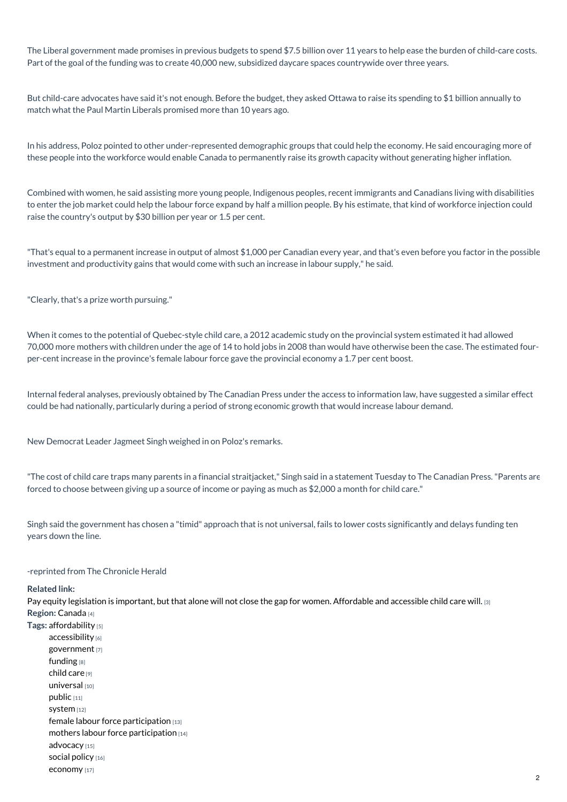The Liberal government made promises in previous budgets to spend \$7.5 billion over 11 years to help ease the burden of child-care costs. Part of the goal of the funding was to create 40,000 new, subsidized daycare spaces countrywide over three years.

But child-care advocates have said it's not enough. Before the budget, they asked Ottawa to raise its spending to \$1 billion annually to match what the Paul Martin Liberals promised more than 10 years ago.

In his address, Poloz pointed to other under-represented demographic groups that could help the economy. He said encouraging more of these people into the workforce would enable Canada to permanently raise its growth capacity without generating higher inflation.

Combined with women, he said assisting more young people, Indigenous peoples, recent immigrants and Canadians living with disabilities to enter the job market could help the labour force expand by half a million people. By his estimate, that kind of workforce injection could raise the country's output by \$30 billion per year or 1.5 per cent.

"That's equal to a permanent increase in output of almost \$1,000 per Canadian every year, and that's even before you factor in the possible investment and productivity gains that would come with such an increase in labour supply," he said.

"Clearly, that's a prize worth pursuing."

When it comes to the potential of Quebec-style child care, a 2012 academic study on the provincial system estimated it had allowed 70,000 more mothers with children under the age of 14 to hold jobs in 2008 than would have otherwise been the case. The estimated fourper-cent increase in the province's female labour force gave the provincial economy a 1.7 per cent boost.

Internal federal analyses, previously obtained by The Canadian Press under the access to information law, have suggested a similar effect could be had nationally, particularly during a period of strong economic growth that would increase labour demand.

New Democrat Leader Jagmeet Singh weighed in on Poloz's remarks.

"The cost of child care traps many parents in a financial straitjacket," Singh said in a statement Tuesday to The Canadian Press."Parents are forced to choose between giving up a source of income or paying as much as \$2,000 a month for child care."

Singh said the government has chosen a "timid" approach that is not universal, fails to lower costs significantly and delays funding ten years down the line.

## -reprinted from The Chronicle Herald

#### **Related link:**

Pay equity legislation is important, but that alone will not close the gap for women. [Affordable](https://childcarecanada.org/documents/child-care-news/18/03/pay-equity-legislation-important-alone-will-not-close-gap-women-affo) and accessible child care will. [3] **Region:** [Canada](https://childcarecanada.org/taxonomy/term/7864) [4]

**Tags:** [affordability](https://childcarecanada.org/category/tags/affordability) [5] [accessibility](https://childcarecanada.org/category/tags/accessiblity) [6] [government](https://childcarecanada.org/taxonomy/term/8941) [7] [funding](https://childcarecanada.org/category/tags/funding) [8] [child](https://childcarecanada.org/category/tags/child-care) care [9] [universal](https://childcarecanada.org/category/tags/universal) [10] [public](https://childcarecanada.org/category/tags/public) [11] [system](https://childcarecanada.org/category/tags/system) [12] female labour force [participation](https://childcarecanada.org/taxonomy/term/8939) [13] mothers labour force [participation](https://childcarecanada.org/taxonomy/term/8942) [14] [advocacy](https://childcarecanada.org/category/tags/advocacy) [15] social [policy](https://childcarecanada.org/category/tags/social-policy) [16] [economy](https://childcarecanada.org/category/tags/economy) [17]